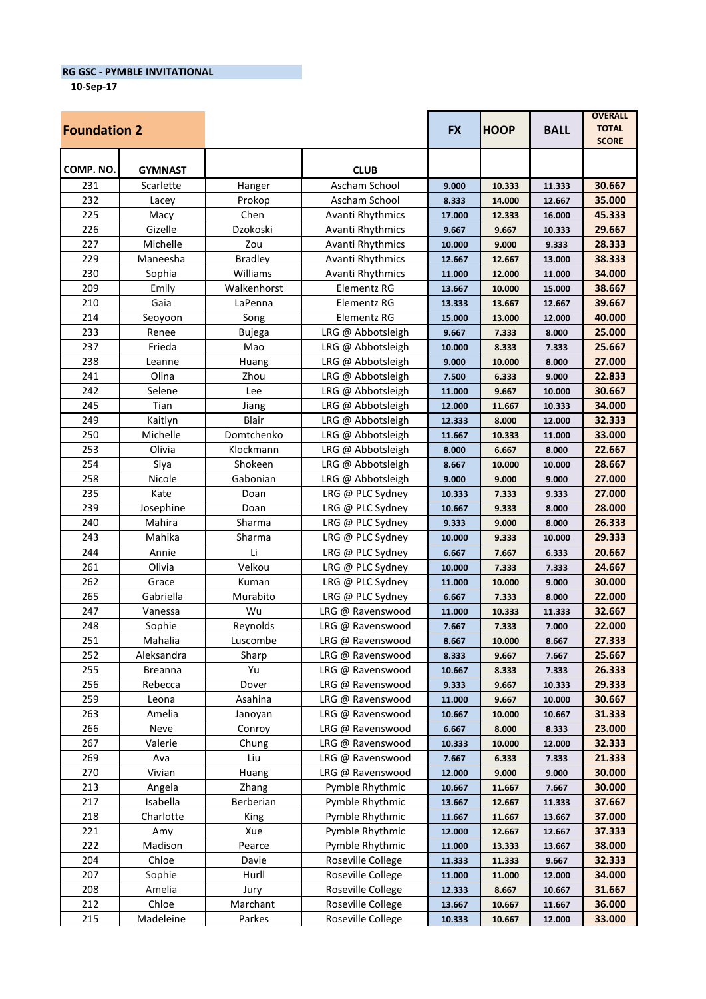**RG GSC - PYMBLE INVITATIONAL**

**10-Sep-17**

| <b>Foundation 2</b> |                |                |                         | <b>FX</b> | <b>HOOP</b> | <b>BALL</b> | <b>OVERALL</b><br><b>TOTAL</b><br><b>SCORE</b> |
|---------------------|----------------|----------------|-------------------------|-----------|-------------|-------------|------------------------------------------------|
| COMP. NO.           | <b>GYMNAST</b> |                | <b>CLUB</b>             |           |             |             |                                                |
| 231                 | Scarlette      | Hanger         | Ascham School           | 9.000     | 10.333      | 11.333      | 30.667                                         |
| 232                 | Lacey          | Prokop         | Ascham School           | 8.333     | 14.000      | 12.667      | 35.000                                         |
| 225                 | Macy           | Chen           | Avanti Rhythmics        | 17.000    | 12.333      | 16.000      | 45.333                                         |
| 226                 | Gizelle        | Dzokoski       | Avanti Rhythmics        | 9.667     | 9.667       | 10.333      | 29.667                                         |
| 227                 | Michelle       | Zou            | Avanti Rhythmics        | 10.000    | 9.000       | 9.333       | 28.333                                         |
| 229                 | Maneesha       | <b>Bradley</b> | <b>Avanti Rhythmics</b> | 12.667    | 12.667      | 13.000      | 38.333                                         |
| 230                 | Sophia         | Williams       | Avanti Rhythmics        | 11.000    | 12.000      | 11.000      | 34.000                                         |
| 209                 | Emily          | Walkenhorst    | Elementz RG             | 13.667    | 10.000      | 15.000      | 38.667                                         |
| 210                 | Gaia           | LaPenna        | Elementz RG             | 13.333    | 13.667      | 12.667      | 39.667                                         |
| 214                 | Seoyoon        | Song           | Elementz RG             | 15.000    | 13.000      | 12.000      | 40.000                                         |
| 233                 | Renee          | <b>Bujega</b>  | LRG @ Abbotsleigh       | 9.667     | 7.333       | 8.000       | 25.000                                         |
| 237                 | Frieda         | Mao            | LRG @ Abbotsleigh       | 10.000    | 8.333       | 7.333       | 25.667                                         |
| 238                 | Leanne         | Huang          | LRG @ Abbotsleigh       | 9.000     | 10.000      | 8.000       | 27.000                                         |
| 241                 | Olina          | Zhou           | LRG @ Abbotsleigh       | 7.500     | 6.333       | 9.000       | 22.833                                         |
| 242                 | Selene         | Lee            | LRG @ Abbotsleigh       | 11.000    | 9.667       | 10.000      | 30.667                                         |
| 245                 | Tian           | Jiang          | LRG @ Abbotsleigh       | 12.000    | 11.667      | 10.333      | 34.000                                         |
| 249                 | Kaitlyn        | Blair          | LRG @ Abbotsleigh       | 12.333    | 8.000       | 12.000      | 32.333                                         |
| 250                 | Michelle       | Domtchenko     | LRG @ Abbotsleigh       | 11.667    | 10.333      | 11.000      | 33.000                                         |
| 253                 | Olivia         | Klockmann      | LRG @ Abbotsleigh       | 8.000     | 6.667       | 8.000       | 22.667                                         |
| 254                 | Siya           | Shokeen        | LRG @ Abbotsleigh       | 8.667     | 10.000      | 10.000      | 28.667                                         |
| 258                 | Nicole         | Gabonian       | LRG @ Abbotsleigh       | 9.000     | 9.000       | 9.000       | 27.000                                         |
| 235                 | Kate           | Doan           | LRG @ PLC Sydney        | 10.333    | 7.333       | 9.333       | 27.000                                         |
| 239                 | Josephine      | Doan           | LRG @ PLC Sydney        | 10.667    | 9.333       | 8.000       | 28.000                                         |
| 240                 | Mahira         | Sharma         | LRG @ PLC Sydney        | 9.333     | 9.000       | 8.000       | 26.333                                         |
| 243                 | Mahika         | Sharma         | LRG @ PLC Sydney        | 10.000    | 9.333       | 10.000      | 29.333                                         |
| 244                 | Annie          | Li             | LRG @ PLC Sydney        | 6.667     | 7.667       | 6.333       | 20.667                                         |
| 261                 | Olivia         | Velkou         | LRG @ PLC Sydney        | 10.000    | 7.333       | 7.333       | 24.667                                         |
| 262                 | Grace          | Kuman          | LRG @ PLC Sydney        | 11.000    | 10.000      | 9.000       | 30.000                                         |
| 265                 | Gabriella      | Murabito       | LRG @ PLC Sydney        | 6.667     | 7.333       | 8.000       | 22.000                                         |
| 247                 | Vanessa        | Wu             | LRG @ Ravenswood        | 11.000    | 10.333      | 11.333      | 32.667                                         |
| 248                 | Sophie         | Reynolds       | LRG @ Ravenswood        | 7.667     | 7.333       | 7.000       | 22.000                                         |
| 251                 | Mahalia        | Luscombe       | LRG @ Ravenswood        | 8.667     | 10.000      | 8.667       | 27.333                                         |
| 252                 | Aleksandra     | Sharp          | LRG @ Ravenswood        | 8.333     | 9.667       | 7.667       | 25.667                                         |
| 255                 | Breanna        | Yu             | LRG @ Ravenswood        | 10.667    | 8.333       | 7.333       | 26.333                                         |
| 256                 | Rebecca        | Dover          | LRG @ Ravenswood        | 9.333     | 9.667       | 10.333      | 29.333                                         |
| 259                 | Leona          | Asahina        | LRG @ Ravenswood        | 11.000    | 9.667       | 10.000      | 30.667                                         |
| 263                 | Amelia         | Janoyan        | LRG @ Ravenswood        | 10.667    | 10.000      | 10.667      | 31.333                                         |
| 266                 | Neve           | Conroy         | LRG @ Ravenswood        | 6.667     | 8.000       | 8.333       | 23.000                                         |
| 267                 | Valerie        | Chung          | LRG @ Ravenswood        | 10.333    | 10.000      | 12.000      | 32.333                                         |
| 269                 | Ava            | Liu            | LRG @ Ravenswood        | 7.667     | 6.333       | 7.333       | 21.333                                         |
| 270                 | Vivian         | Huang          | LRG @ Ravenswood        | 12.000    | 9.000       | 9.000       | 30.000                                         |
| 213                 | Angela         | Zhang          | Pymble Rhythmic         | 10.667    | 11.667      | 7.667       | 30.000                                         |
| 217                 | Isabella       | Berberian      | Pymble Rhythmic         | 13.667    | 12.667      | 11.333      | 37.667                                         |
| 218                 | Charlotte      | King           | Pymble Rhythmic         | 11.667    | 11.667      | 13.667      | 37.000                                         |
| 221                 | Amy            | Xue            | Pymble Rhythmic         | 12.000    | 12.667      | 12.667      | 37.333                                         |
| 222                 | Madison        | Pearce         | Pymble Rhythmic         | 11.000    | 13.333      | 13.667      | 38.000                                         |
| 204                 | Chloe          | Davie          | Roseville College       | 11.333    | 11.333      | 9.667       | 32.333                                         |
| 207                 | Sophie         | Hurll          | Roseville College       | 11.000    | 11.000      | 12.000      | 34.000                                         |
| 208                 | Amelia         | Jury           | Roseville College       | 12.333    | 8.667       | 10.667      | 31.667                                         |
| 212                 | Chloe          | Marchant       | Roseville College       | 13.667    | 10.667      | 11.667      | 36.000                                         |
| 215                 | Madeleine      | Parkes         | Roseville College       | 10.333    | 10.667      | 12.000      | 33.000                                         |